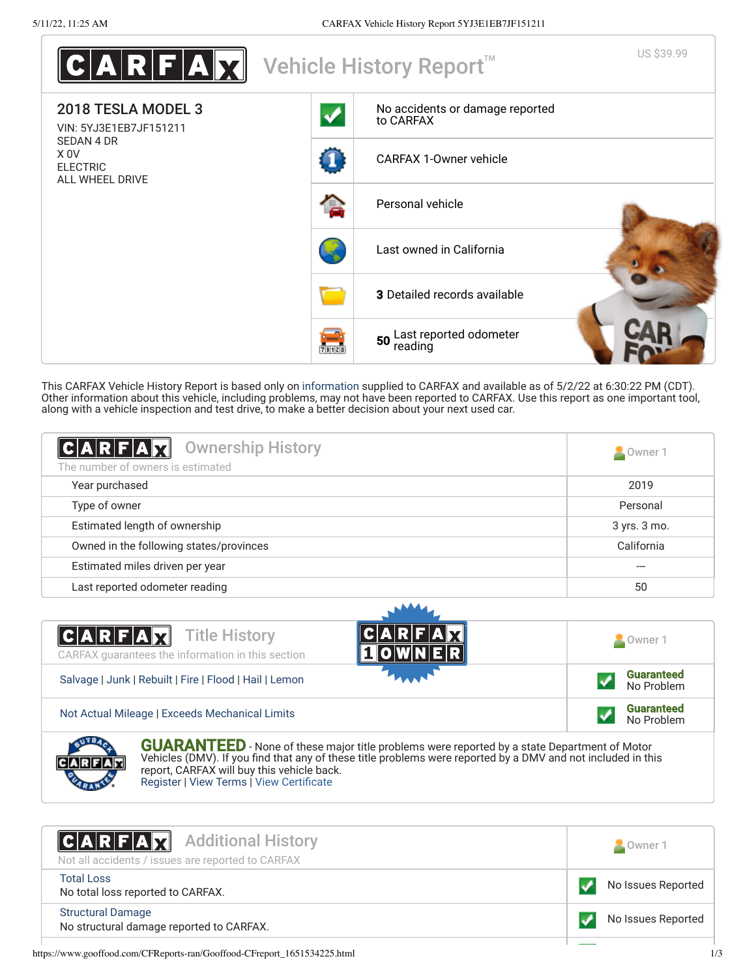| $\texttt{C} \textbf{A} \textbf{R} \textbf{F} \textbf{A} \textbf{X} $ |                      | Vehicle History Report <sup>™</sup>          | US \$39.99 |
|----------------------------------------------------------------------|----------------------|----------------------------------------------|------------|
| 2018 TESLA MODEL 3<br>VIN: 5YJ3E1EB7JF151211                         |                      | No accidents or damage reported<br>to CARFAX |            |
| <b>SEDAN 4 DR</b><br>X OV<br><b>ELECTRIC</b><br>ALL WHEEL DRIVE      |                      | <b>CARFAX 1-Owner vehicle</b>                |            |
|                                                                      | e                    | Personal vehicle                             |            |
|                                                                      |                      | Last owned in California                     |            |
|                                                                      |                      | <b>3</b> Detailed records available          |            |
|                                                                      | ÷<br><b>Printing</b> | 50 Last reported odometer<br>reading         |            |

This CARFAX Vehicle History Report is based only on [information](http://www.carfax.com/company/vhr-data-sources) supplied to CARFAX and available as of 5/2/22 at 6:30:22 PM (CDT). Other information about this vehicle, including problems, may not have been reported to CARFAX. Use this report as one important tool, along with a vehicle inspection and test drive, to make a better decision about your next used car.

<span id="page-0-1"></span>

| $ C A R F A \overline{X}$<br><b>Ownership History</b><br>The number of owners is estimated | Owner 1      |
|--------------------------------------------------------------------------------------------|--------------|
| Year purchased                                                                             | 2019         |
| Type of owner                                                                              | Personal     |
| Estimated length of ownership                                                              | 3 yrs. 3 mo. |
| Owned in the following states/provinces                                                    | California   |
| Estimated miles driven per year                                                            |              |
| Last reported odometer reading                                                             | 50           |





**GUARANTEED** - None of these major title problems were reported by a state Department of Motor Vehicles (DMV). If you find that any of these title problems were reported by a DMV and not included in this report, CARFAX will buy this vehicle back. [Register](https://www.carfax.com/Service/bbg) | [View Terms](http://www.carfaxonline.com/legal/bbgTerms) | [View Certificate](https://www.gooffood.com/CFReports-ran/Gooffood-CFreport_1651534225.html)

<span id="page-0-0"></span>

| <b>CARFAX</b> Additional History<br>Not all accidents / issues are reported to CARFAX | Owner 1            |
|---------------------------------------------------------------------------------------|--------------------|
| <b>Total Loss</b><br>No total loss reported to CARFAX.                                | No Issues Reported |
| <b>Structural Damage</b><br>No structural damage reported to CARFAX.                  | No Issues Reported |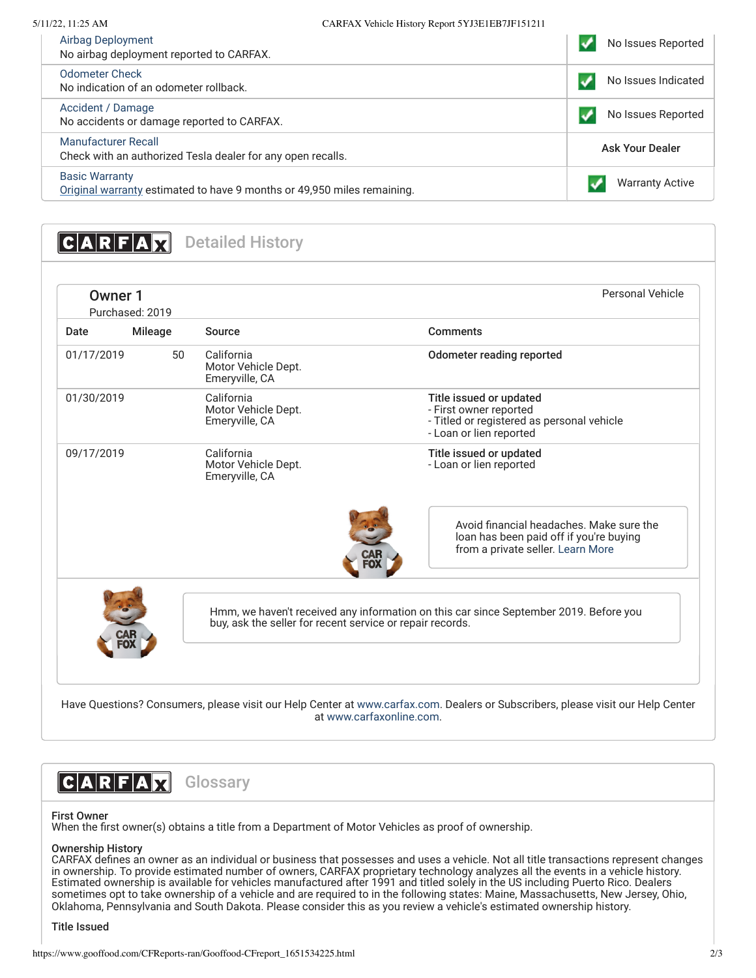| Airbag Deployment<br>No airbag deployment reported to CARFAX.                                    | No Issues Reported     |
|--------------------------------------------------------------------------------------------------|------------------------|
| <b>Odometer Check</b><br>No indication of an odometer rollback.                                  | No Issues Indicated    |
| Accident / Damage<br>No accidents or damage reported to CARFAX.                                  | No Issues Reported     |
| Manufacturer Recall<br>Check with an authorized Tesla dealer for any open recalls.               | <b>Ask Your Dealer</b> |
| <b>Basic Warranty</b><br>Original warranty estimated to have 9 months or 49,950 miles remaining. | <b>Warranty Active</b> |

<span id="page-1-0"></span>**CARFAX** Detailed History

| Owner 1<br>Purchased: 2019 |                |                                                           | Personal Vehicle                                                                                                           |
|----------------------------|----------------|-----------------------------------------------------------|----------------------------------------------------------------------------------------------------------------------------|
| Date                       | <b>Mileage</b> | Source                                                    | <b>Comments</b>                                                                                                            |
| 01/17/2019                 | 50             | California<br>Motor Vehicle Dept.<br>Emeryville, CA       | Odometer reading reported                                                                                                  |
| 01/30/2019                 |                | California<br>Motor Vehicle Dept.<br>Emeryville, CA       | Title issued or updated<br>- First owner reported<br>- Titled or registered as personal vehicle<br>- Loan or lien reported |
| 09/17/2019                 |                | California<br>Motor Vehicle Dept.<br>Emeryville, CA       | Title issued or updated<br>- Loan or lien reported                                                                         |
|                            |                |                                                           | Avoid financial headaches. Make sure the<br>loan has been paid off if you're buying<br>from a private seller. Learn More   |
|                            |                | buy, ask the seller for recent service or repair records. | Hmm, we haven't received any information on this car since September 2019. Before you                                      |

at [www.carfaxonline.com.](http://www.carfaxonline.com/)

**CARFAX** Glossary

## First Owner

When the first owner(s) obtains a title from a Department of Motor Vehicles as proof of ownership.

## Ownership History

CARFAX defines an owner as an individual or business that possesses and uses a vehicle. Not all title transactions represent changes in ownership. To provide estimated number of owners, CARFAX proprietary technology analyzes all the events in a vehicle history. Estimated ownership is available for vehicles manufactured after 1991 and titled solely in the US including Puerto Rico. Dealers sometimes opt to take ownership of a vehicle and are required to in the following states: Maine, Massachusetts, New Jersey, Ohio, Oklahoma, Pennsylvania and South Dakota. Please consider this as you review a vehicle's estimated ownership history.

Title Issued